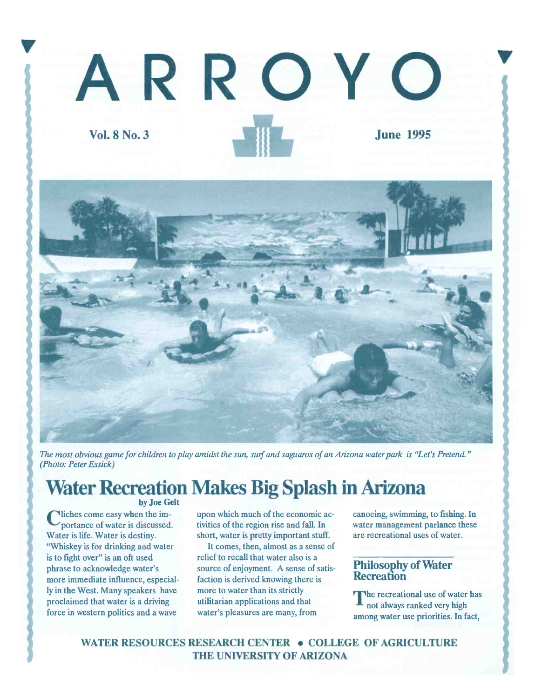# ARROY Vol. 8 No. 3 June 1995



The most obvious game for children to play amidst the sun, surf and saguaros of an Arizona water park is "Let's Pretend." (Photo: Peter Essick)

### Water Recreation Makes Big Splash in Arizona

by Joe Gelt

portance of water is discussed. Vliches come easy when the im-Water is life. Water is destiny. "Whiskey is for drinking and water is to fight over" is an oft used phrase to acknowledge water's more immediate influence, especially in the West. Many speakers have proclaimed that water is a driving force in western politics and a wave

upon which much of the economic activities of the region rise and fall. In short, water is pretty important stuff.

It comes, then, almost as a sense of relief to recall that water also is a source of enjoyment. A sense of satisfaction is derived knowing there is more to water than its strictly utilitarian applications and that water's pleasures are many, from

canoeing, swimming, to fishing. In water management parlance these are recreational uses of water.

#### Philosophy of Water **Recreation**

The recreational use of water has not always ranked very high among water use priorities. In fact,

WATER RESOURCES RESEARCH CENTER . COLLEGE OF AGRICULTURE THE UNIVERSITY OF ARIZONA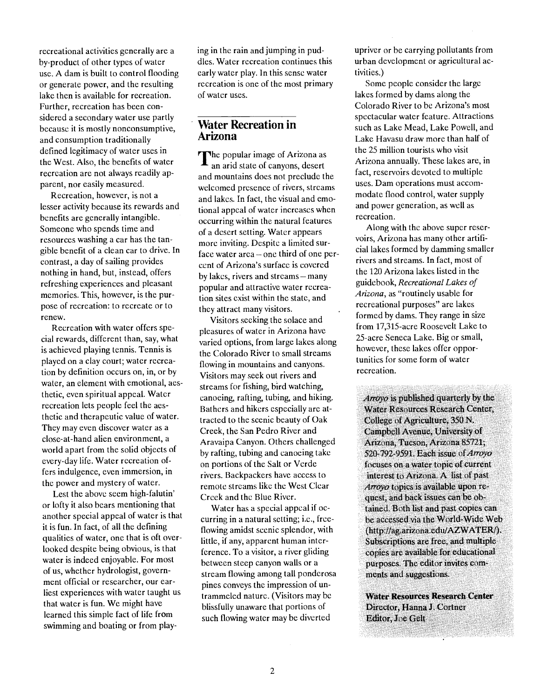recreational activities generally are a by-product of other types of water use. A dam is built to control flooding or generate power, and the resulting lake then is available for recreation. Further, recreation has been considered a secondary water use partly because it is mostly nonconsumptive, and consumption traditionally defined legitimacy of water uses in the West. Also, the benefits of water recreation are not always readily apparent, nor easily measured.

Recreation, however, is not a lesser activity because its rewards and benefits are generally intangible. Someone who spends time and resources washing a car has the tangible benefit of a clean car to drive. In contrast, a day of sailing provides nothing in hand, but, instead, offers refreshing experiences and pleasant memories. This, however, is the purpose of recreation: to recreate or to renew.

Recreation with water offers special rewards, different than, say, what is achieved playing tennis. Tennis is played on a clay court; water recreation by definition occurs on, in, or by water, an element with emotional, aesthetic, even spiritual appeal. Water recreation lets people feel the aesthetic and therapeutic value of water. They may even discover water as a close-at-hand alien environment, a world apart from the solid objects of every-day life. Water recreation offers indulgence, even immersion, in the power and mystery of water.

Lest the above seem high-falutin' or lofty it also bears mentioning that another special appeal of water is that it is fun. In fact, of all the defining qualities of water, one that is oft overlooked despite being obvious, is that water is indeed enjoyable. For most of us, whether hydrologist, government official or researcher, our earliest experiences with water taught us that water is fun. We might have learned this simple fact of life from swimming and boating or from playing in the rain and jumping in puddles. Water recreation continues this early water play. in this sense water recreation is one of the most primary of water uses.

#### Water Recreation in Arizona

The popular image of Arizona as an arid state of canyons, desert and mountains does not preclude the welcomed presence of rivers, streams and lakes. In fact, the visual and emotional appeal of water increases when occurring within the natural features of a desert setting. Water appears more inviting. Despite a limited surface water area – one third of one percent of Arizona's surface is covered by lakes, rivers and streams - many popular and attractive water recreation sites exist within the state, and they attract many visitors.

Visitors seeking the solace and pleasures of water in Arizona have varied options, from large lakes along the Colorado River to small streams flowing in mountains and canyons. Visitors may seek out rivers and streams for fishing, bird watching, canoeing, rafting, tubing, and hiking. Bathers and hikers especially are attracted to the scenic beauty of Oak Creek, the San Pedro River and Aravaipa Canyon. Others challenged by rafting, tubing and canoeing take on portions of the Salt or Verde rivers. Backpackers have access to remote streams like the West Clear Creek and the Blue River.

Water has a special appeal if occurring in a natural setting; i.e., freeflowing amidst scenic splendor, with little, if any, apparent human interference. To a visitor, a river gliding between steep canyon walls or a stream flowing among tall ponderosa pines conveys the impression of untrammeled nature. (Visitors may be blissfully unaware that portions of such flowing water may be diverted

upriver or be carrying pollutants from urban development or agricultural activities.)

Some people consider the large lakes formed by dams along the Colorado River to be Arizona's most spectacular water feature. Attractions such as Lake Mead, Lake Powell, and Lake Havasu draw more than half of the 25 million tourists who visit Arizona annually. These lakes are, in fact, reservoirs devoted to multiple uses. Dam operations must accommodate flood control, water supply and power generation, as well as recreation.

Along with the above super reservoirs, Arizona has many other artificial lakes formed by damming smaller rivers and streams. In fact, most of the 120 Arizona lakes listed in the guidebook, Recreational Lakes of Arizona, as "routinely usable for recreational purposes" are lakes formed by dams. They range in size from 17,315-acre Roosevelt Lake to 25-acre Seneca Lake. Big or small, however, these lakes offer opportunities for some form of water recreation.

Arroyo is published quarterly by the Water Resources Research Center, College of Agriculture, 350 N. Campbell Avenue, University of Arizona, Tucson, Arizona 85721; 520-792-9591. Each issue of Arroyo focuses on a water topic of current interest to Arizona. A list of past Arroyo topics is available upon request, and back issues can be obtained. Both list and past copies can be accessed via the World-Wide Web (http://ag.arizona.edu/AZWATER/). Subscriptions are free, and multiple copies are available for educational purposes. The editor invites comments and suggestions.

Water Resources Research Center Director, Hanna J. Cortner Editor, Joe Gelt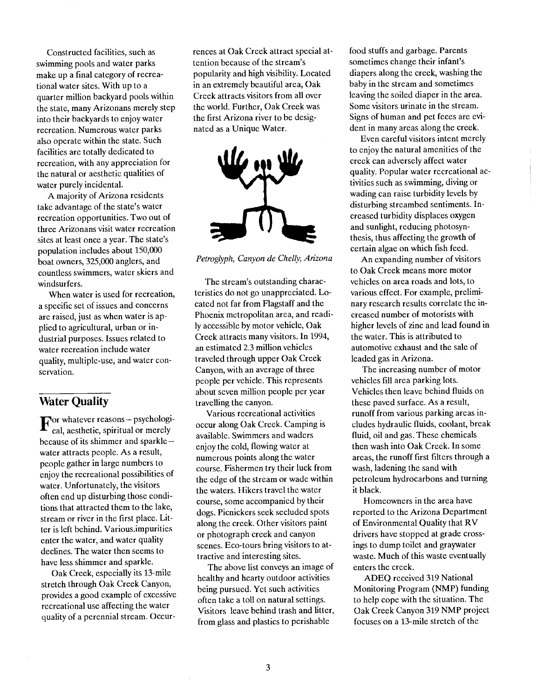Constructed facilities, such as swimming pools and water parks make up a final category of recreational water sites. With up to a quarter million backyard pools within the state, many Arizonans merely step into their backyards to enjoy water recreation. Numerous water parks also operate within the state. Such facilities are totally dedicated to recreation, with any appreciation for the natural or aesthetic qualities of water purely incidental.

A majority of Arizona residents take advantage of the state's water recreation opportunities. Two out of three Arizonans visit water recreation sites at least once a year. The state's population includes about 150,000 boat owners, 325,000 anglers, and countless swimmers, water skiers and windsurfers.

When water is used for recreation, a specific set of issues and concerns are raised, just as when water is applied to agricultural, urban or industrial purposes. Issues related to water recreation include water quality, multiple-use, and water conservation.

#### Water Quality

For whatever reasons - psychological, aesthetic, spiritual or merely because of its shimmer and sparkle  $$ water attracts people. As a result, people gather in large numbers to enjoy the recreational possibilities of water. Unfortunately, the visitors often end up disturbing those conditions that attracted them to the lake, stream or river in the first place. Litter is left behind. Variousimpurities enter the water, and water quality declines. The water then seems to have less shimmer and sparkle.

Oak Creek, especially its 13-mile stretch through Oak Creek Canyon, provides a good example of excessive recreational use affecting the water quality of a perennial stream. Occurrences at Oak Creek attract special attention because of the stream's popularity and high visibility. Located in an extremely beautiful area, Oak Creek attracts visitors from all over the world. Further, Oak Creek was the first Arizona river to be designated as a Unique Water.



Petroglyph, Canyon de Chelly, Arizona

The stream's outstanding characteristics do not go unappreciated. Located not far from Flagstaff and the Phoenix metropolitan area, and readily accessible by motor vehicle, Oak Creek attracts many visitors. In 1994, an estimated 2.3 million vehicles traveled through upper Oak Creek Canyon, with an average of three people per vehicle. This represents about seven million people per year travelling the canyon.

Various recreational activities occur along Oak Creek. Camping is available. Swimmers and waders enjoy the cold, flowing water at numerous points along the water course. Fishermen try their luck from the edge of the stream or wade within the waters. Hikers travel the water course, some accompanied by their dogs. Picnickers seek secluded spots along the creek. Other visitors paint or photograph creek and canyon scenes. Eco-tours bring visitors to attractive and interesting sites.

The above list conveys an image of healthy and hearty outdoor activities being pursued. Yet such activities often take a toll on natural settings. Visitors leave behind trash and litter, from glass and plastics to perishable

food stuffs and garbage. Parents sometimes change their infant's diapers along the creek, washing the baby in the stream and sometimes leaving the soiled diaper in the area. Some visitors urinate in the stream. Signs of human and pet feces are evident in many areas along the creek.

Even careful visitors intent merely to enjoy the natural amenities of the creek can adversely affect water quality. Popular water recreational activities such as swimming, diving or wading can raise turbidity levels by disturbing streambed sentiments. Increased turbidity displaces oxygen and sunlight, reducing photosynthesis, thus affecting the growth of certain algae on which fish feed.

An expanding number of visitors to Oak Creek means more motor vehicles on area roads and lots, to various effect. For example, preliminary research results correlate the increased number of motorists with higher levels of zinc and lead found in the water. This is attributed to automotive exhaust and the sale of leaded gas in Arizona.

The increasing number of motor vehicles fill area parking lots. Vehicles then leave behind fluids on these paved surface. As a result, runoff from various parking areas includes hydraulic fluids, coolant, break fluid, oil and gas. These chemicals then wash into Oak Creek. In some areas, the runoff first filters through a wash, ladening the sand with petroleum hydrocarbons and turning it black.

Homeowners in the area have reported to the Arizona Department of Environmental Quality that RV drivers have stopped at grade crossings to dump toilet and graywater waste. Much of this waste eventually enters the creek.

ADEQ received 319 National Monitoring Program (NMP) funding to help cope with the situation. The Oak Creek Canyon 319 NMP project focuses on a 13-mile stretch of the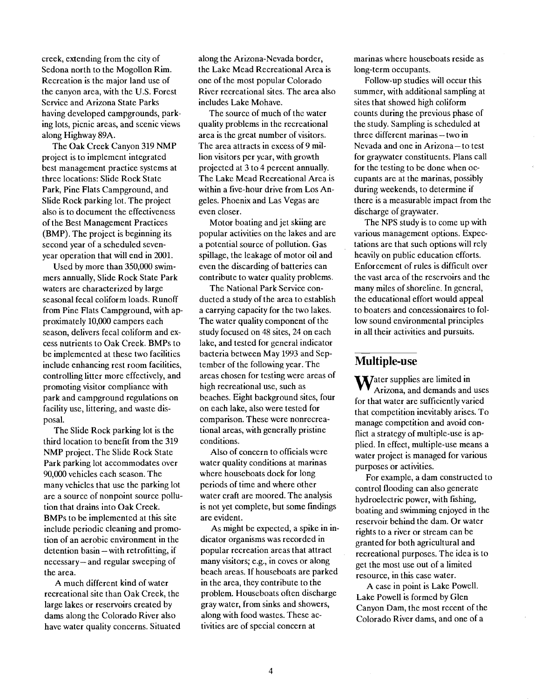creek, extending from the city of Sedona north to the Mogollon Rim. Recreation is the major land use of the canyon area, with the U.S. Forest Service and Arizona State Parks having developed campgrounds, parking lots, picnic areas, and scenic views along Highway 89A.

The Oak Creek Canyon 319 NMP project is to implement integrated best management practice systems at three locations: Slide Rock State Park, Pine Flats Campground, and Slide Rock parking lot. The project also is to document the effectiveness of the Best Management Practices (BMP). The project is beginning its second year of a scheduled sevenyear operation that will end in 2001.

Used by more than 350,000 swimmers annually, Slide Rock State Park waters are characterized by large seasonal fecal coliform loads. Runoff from Pine Flats Campground, with approximately 10,000 campers each season, delivers fecal coliform and excess nutrients to Oak Creek. BMPs to be implemented at these two facilities include enhancing rest room facilities, controlling litter more effectively, and promoting visitor compliance with park and campground regulations on facility use, littering, and waste disposal.

The Slide Rock parking lot is the third location to benefit from the 319 NMP project. The Slide Rock State Park parking lot accommodates over 90,000 vehicles each season. The many vehicles that use the parking lot are a source of nonpoint source pollution that drains into Oak Creek. BMPs to be implemented at this site include periodic cleaning and promotion of an aerobic environment in the detention basin - with retrofitting, if  $n$ ecessary – and regular sweeping of the area.

A much different kind of water recreational site than Oak Creek, the large lakes or reservoirs created by dams along the Colorado River also have water quality concerns. Situated along the Arizona-Nevada border, the Lake Mead Recreational Area is one of the most popular Colorado River recreational sites. The area also includes Lake Mohave.

The source of much of the water quality problems in the recreational area is the great number of visitors, The area attracts in excess of 9 million visitors per year, with growth projected at 3 to 4 percent annually. The Lake Mead Recreational Area is within a five-hour drive from Los Angeles. Phoenix and Las Vegas are even closer.

Motor boating and jet skiing are popular activities on the lakes and are a potential source of pollution. Gas spillage, the leakage of motor oil and even the discarding of batteries can contribute to water quality problems.

The National Park Service conducted a study of the area to establish a carrying capacity for the two lakes. The water quality component of the study focused on 48 sites, 24 on each lake, and tested for general indicator bacteria between May 1993 and September of the following year. The areas chosen for testing were areas of high recreational use, such as beaches. Eight background sites, four on each lake, also were tested for comparison. These were nonrecreational areas, with generally pristine conditions.

Also of concern to officials were water quality conditions at marinas where houseboats dock for long periods of time and where other water craft are moored. The analysis is not yet complete, but some findings are evident.

As might be expected, a spike in indicator organisms was recorded in popular recreation areas that attract many visitors; e.g., in coves or along beach areas. If houseboats are parked in the area, they contribute to the problem. Houseboats often discharge gray water, from sinks and showers, along with food wastes. These activities are of special concern at

marinas where houseboats reside as long-term occupants.

Follow-up studies will occur this summer, with additional sampling at sites that showed high coliform counts during the previous phase of the study. Sampling is scheduled at three different marinas - two in Nevada and one in Arizona-to test for graywater constituents. Plans call for the testing to be done when occupants are at the marinas, possibly during weekends, to determine if there is a measurable impact from the discharge of graywater.

The NPS study is to come up with various management options. Expectations are that such options will rely heavily on public education efforts. Enforcement of rules is difficult over the vast area of the reservoirs and the many miles of shoreline. In general, the educational effort would appeal to boaters and concessionaires to follow sound environmental principles in all their activities and pursuits.

#### Multiple-use

 $\mathbf W$ ater supplies are limited in Arizona, and demands and uses for that water are sufficiently varied that competition inevitably arises. To manage competition and avoid conflict a strategy of multiple-use is applied. In effect, multiple-use means a water project is managed for various purposes or activities.

For example, a dam constructed to control flooding can also generate hydroelectric power, with fishing, boating and swimming enjoyed in the reservoir behind the dam. Or water rights to a river or stream can be granted for both agricultural and recreational purposes. The idea is to get the most use out of a limited resource, in this case water.

A case in point is Lake Powell. Lake Powell is formed by Glen Canyon Dam, the most recent of the Colorado River dams, and one of a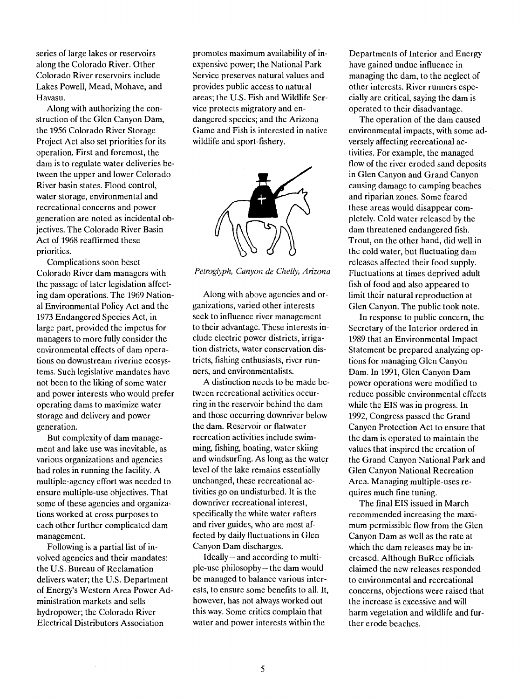series of large lakes or reservoirs along the Colorado River. Other Colorado River reservoirs include Lakes Powell, Mead, Mohave, and Havasu.

Along with authorizing the construction of the Glen Canyon Dam, the 1956 Colorado River Storage Project Act also set priorities for its operation. First and foremost, the dam is to regulate water deliveries between the upper and lower Colorado River basin states. Flood control, water storage, environmental and recreational concerns and power generation are noted as incidental objectives. The Colorado River Basin Act of 1968 reaffirmed these priorities.

Complications soon beset Colorado River dam managers with the passage of later legislation affecting dam operations. The 1969 National Environmental Policy Act and the 1973 Endangered Species Act, in large part, provided the impetus for managers to more fully consider the environmental effects of dam operations on downstream riverine ecosystems. Such legislative mandates have not been to the liking of some water and power interests who would prefer operating dams to maximize water storage and delivery and power generation.

But complexity of dam management and lake use was inevitable, as various organizations and agencies had roles in running the facility. A multiple-agency effort was needed to ensure multiple-use objectives. That some of these agencies and organizations worked at cross purposes to each other further complicated dam management.

Following is a partial list of involved agencies and their mandates: the U.S. Bureau of Reclamation delivers water; the U.S. Department of Energy's Western Area Power Administration markets and sells hydropower; the Colorado River Electrical Distributors Association

promotes maximum availability of inexpensive power; the National Park Service preserves natural values and provides public access to natural areas; the U.S. Fish and Wildlife Service protects migratory and endangered species; and the Arizona Game and Fish is interested in native wildlife and sport-fishery.



Fetroglyph, Canyon de Chelly, Arizona

Along with above agencies and organizations, varied other interests seek to influence river management to their advantage. These interests include electric power districts, irrigation districts, water conservation districts, fishing enthusiasts, river runners, and environmentalists.

A distinction needs to be made between recreational activities occurring in the reservoir behind the dam and those occurring downriver below the dam. Reservoir or flatwater recreation activities include swimming, fishing, boating, water skiing and windsurfing. As long as the water level of the lake remains essentially unchanged, these recreational activities go on undisturbed. It is the downriver recreational interest, specifically the white water rafters and river guides, who are most affected by daily fluctuations in Glen Canyon Dam discharges.

 $Ideally - and according to multi$ ple-use philosophy-the dam would be managed to balance various interests, to ensure some benefits to all. It, however, has not always worked out this way. Some critics complain that water and power interests within the

Departments of Interior and Energy have gained undue influence in managing the dam, to the neglect of other interests. River runners especially are critical, saying the dam is operated to their disadvantage.

The operation of the dam caused environmental impacts, with some adversely affecting recreational activities. For example, the managed flow of the river eroded sand deposits in Glen Canyon and Grand Canyon causing damage to camping beaches and riparian zones. Some feared these areas would disappear completely. Cold water released by the dam threatened endangered fish. Trout, on the other hand, did well in the cold water, but fluctuating dam releases affected their food supply. Fluctuations at times deprived adult fish of food and also appeared to limit their natural reproduction at Glen Canyon. The public took note.

In response to public concern, the Secretary of the Interior ordered in 1989 that an Environmental Impact Statement be prepared analyzing options for managing Glen Canyon Dam. In 1991, Glen Canyon Dam power operations were modified to reduce possible environmental effects while the EIS was in progress. In 1992, Congress passed the Grand Canyon Protection Act to ensure that the dam is operated to maintain the values that inspired the creation of the Grand Canyon National Park and Glen Canyon National Recreation Area. Managing multiple-uses requires much fine tuning.

The final EIS issued in March recommended increasing the maximum permissible flow from the Glen Canyon Dam as well as the rate at which the dam releases may be increased. Although BuRec officials claimed the new releases responded to environmental and recreational concerns, objections were raised that the increase is excessive and will harm vegetation and wildlife and further erode beaches.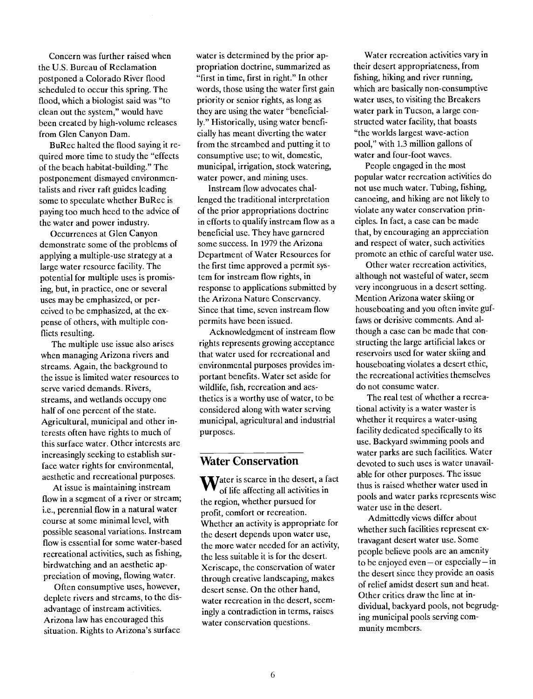Concern was further raised when the U.S. Bureau of Reclamation postponed a Colorado River flood scheduled to occur this spring. The flood, which a biologist said was "to clean out the system," would have been created by high-volume releases from Glen Canyon Dam.

BuRec halted the flood saying it required more time to study the "effects of the beach habitat-building." The postponement dismayed environmentalists and river raft guides leading some to speculate whether BuRec is paying too much heed to the advice of the water and power industry.

Occurrences at Glen Canyon demonstrate some of the problems of applying a multiple-use strategy at a large water resource facility. The potential for multiple uses is promising, but, in practice, one or several uses may be emphasized, or perceived to be emphasized, at the expense of others, with multiple conflicts resulting.

The multiple use issue also arises when managing Arizona rivers and streams. Again, the background to the issue is limited water resources to serve varied demands. Rivers, streams, and wetlands occupy one half of one percent of the state. Agricultural, municipal and other interests often have rights to much of this surface water. Other interests are increasingly seeking to establish surface water rights for environmental, aesthetic and recreational purposes.

At issue is maintaining instream flow in a segment of a river or stream; i.e., perennial flow in a natural water course at some minimal level, with possible seasonal variations. Instream flow is essential for some water-based recreational activities, such as fishing, birdwatching and an aesthetic appreciation of moving, flowing water.

Often consumptive uses, however, deplete rivers and streams, to the disadvantage of instream activities. Arizona law has encouraged this situation. Rights to Arizona's surface

water is determined by the prior appropriation doctrine, summarized as "first in time, first in right." In other words, those using the water first gain priority or senior rights, as long as they are using the water "beneficially." Historically, using water beneficially has meant diverting the water from the streambed and putting it to consumptive use; to wit, domestic, municipal, irrigation, stock watering, water power, and mining uses.

Instream flow advocates challenged the traditional interpretation of the prior appropriations doctrine in efforts to qualify instream flow as a beneficial use. They have garnered some success. In 1979 the Arizona Department of Water Resources for the first time approved a permit system for instream flow rights, in response to applications submitted by the Arizona Nature Conservancy. Since that time, seven instream flow permits have been issued.

Acknowledgment of instream flow rights represents growing acceptance that water used for recreational and environmental purposes provides important benefits. Water set aside for wildlife, fish, recreation and aesthetics is a worthy use of water, to be considered along with water serving municipal, agricultural and industrial purposes.

#### Water Conservation

 $\mathbf{W}_{\text{of life affecting all activities in}}^{\text{after is scarce in the desert, a fact}}$ the region, whether pursued for profit, comfort or recreation. Whether an activity is appropriate for the desert depends upon water use, the more water needed for an activity, the less suitable it is for the desert. Xeriscape, the conservation of water through creative landscaping, makes desert sense. On the other hand, water recreation in the desert, seemingly a contradiction in terms, raises water conservation questions.

Water recreation activities vary in their desert appropriateness, from fishing, hiking and river running, which are basically non-consumptive water uses, to visiting the Breakers water park in Tucson, a large constructed water facility, that boasts "the worlds largest wave-action pool," with 1.3 million gallons of water and four-foot waves.

People engaged in the most popular water recreation activities do not use much water. Tubing, fishing, canoeing, and hiking arc not likely to violate any water conservation principles. In fact, a case can be made that, by encouraging an appreciation and respect of water, such activities promote an ethic of careful water use.

Other water recreation activities, although not wasteful of water, seem very incongruous in a desert setting. Mention Arizona water skiing or houseboating and you often invite guffaws or derisive comments. And although a case can be made that constructing the large artificial lakes or reservoirs used for water skiing and houseboating violates a desert ethic, the recreational activities themselves do not consume water.

The real test of whether a recreational activity is a water waster is whether it requires a water-using facility dedicated specifically to its use. Backyard swimming pools and water parks are such facilities. Water devoted to such uses is water unavailable for other purposes. The issue thus is raised whether water used in pools and water parks represents wise water use in the desert.

Admittedly views differ about whether such facilities represent extravagant desert water use. Some people believe pools are an amenity to be enjoyed even—or especially—in the desert since they provide an oasis of relief amidst desert sun and heat. Other critics draw the line at individual, backyard pools, not begrudging municipal pools serving community members.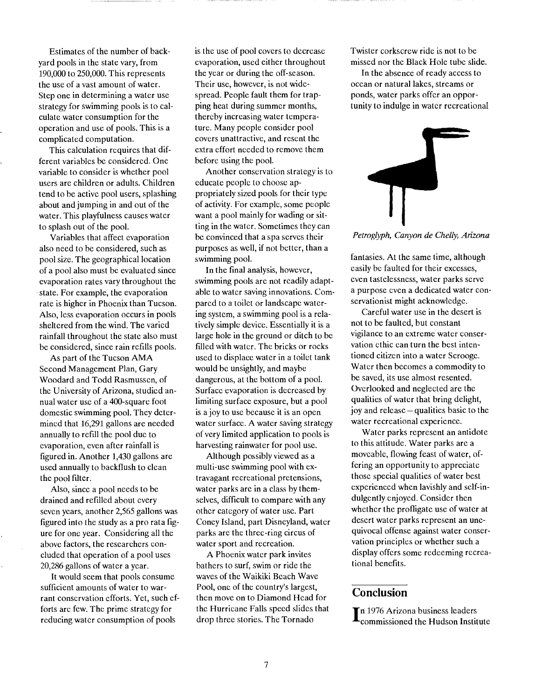Estimates of the number of backyard pools in the state vary, from 190,000 to 250,000. This represents the use of a vast amount of water. Step one in determining a water use strategy for swimming pools is to calculate water consumption for the operation and use of pools. This is a complicated computation.

This calculation requires that different variables be considered. One variable to consider is whether pool users are children or adults. Children tend to be active pool users, splashing about and jumping in and out of the water. This playfulness causes water to splash out of the pooi.

Variables that affect evaporation also need to be considered, such as pool size. The geographical location of a pool also must be evaluated since evaporation rates vary throughout the state. For example, the evaporation rate is higher in Phoenix than Tucson. Also, less evaporation occurs in pools sheltered from the wind. The varied rainfall throughout the state also must be considered, since rain refills pools.

As part of the Tucson AMA Second Management Plan, Gary Woodard and Todd Rasmussen, of the University of Arizona, studied annual water use of a 400-square foot domestic swimming pool. They determined that 16,291 gallons are needed annually to refill the pooi due to evaporation, even after rainfall is figured in. Another 1,430 gallons arc used annually to backflush to clean the pool filter.

Also, since a pool needs to be drained and refilled about every seven years, another 2,565 gallons was figured into the study as a pro rata figure for one year. Considering all the above factors, the researchers concluded that operation of a pool uses 20,286 gallons of water a year.

It would seem that pools consume sufficient amounts of water to warrant conservation efforts. Yet, such efforts are few. The prime strategy for reducing water consumption of pools

is the use of pool covers to decrease evaporation, used either throughout the year or during the off-season. Their use, however, is not widespread. People fault them for trapping heat during summer months, thereby increasing water temperature. Many people consider pool covers unattractive, and resent the extra effort needed to remove them before using the pool.

Another conservation strategy is to educate people to choose appropriately sized pools for their type of activity. For example, some people want a pool mainly for wading or sitting in the water. Sometimes they can be convinced that a spa serves their purposes as well, if not better, than a swimming pooi.

In the final analysis, however, swimming pools are not readily adaptable to water saving innovations. Compared to a toilet or landscape watering system, a swimming pool is a relatively simple device. Essentially it is a large hole in the ground or ditch to be filled with water. The bricks or rocks used to displace water in a toilet tank would be unsightly, and maybe dangerous, at the bottom of a pool. Surface-evaporation is decreased by limiting surface exposure, but a pool is a joy to use because it is an open water surface. A water saving strategy of very limited application to pools is harvesting rainwater for pool use.

Although possibly viewed as a multi-use swimming pool with extravagant recreational pretensions, water parks are in a class by themselves, difficult to compare with any other category of water use. Part Coney Island, part Disneyland, water parks are the three-ring circus of water sport and recreation.

A Phoenix water park invites bathers to surf, swim or ride the waves of the Waikiki Beach Wave Pool, one of the country's largest, then move on to Diamond Head for the Hurricane Falls speed slides that drop three stories. The Tornado

Twister corkscrew ride is not to be missed nor the Black Hole tube slide.

In the absence of ready access to ocean or natural lakes, streams or ponds, water parks offer an opportunity to indulge in water recreational



Petroglyph, Canyon de Chelly, Arizona

fantasies. At the same time, although easily be faulted for their excesses, even tastelessness, water parks serve a purpose even a dedicated water conservationist might acknowledge.

Careful water use in the desert is not to be faulted, but constant vigilance to an extreme water conservation ethic can turn the best intentioned citizen into a water Scrooge. Water then becomes a commodity to be saved, its use almost resented. Overlooked and neglected are the qualities of water that bring delight, joy and release  $-\omega$  qualities basic to the water recreational experience.

Water parks represent an antidote to this attitude. Water parks are a moveable, flowing feast of water, offering an opportunity to appreciate those special qualities of water best experienced when lavishly and self-indulgently enjoyed. Consider then whether the profligate use of water at desert water parks represent an unequivocal offense against water conservation principles or whether such a display offers some redeeming recreational benefits.

#### **Conclusion**

In 1976 Arizona business leaders<br>Commissioned the Hudson Institute